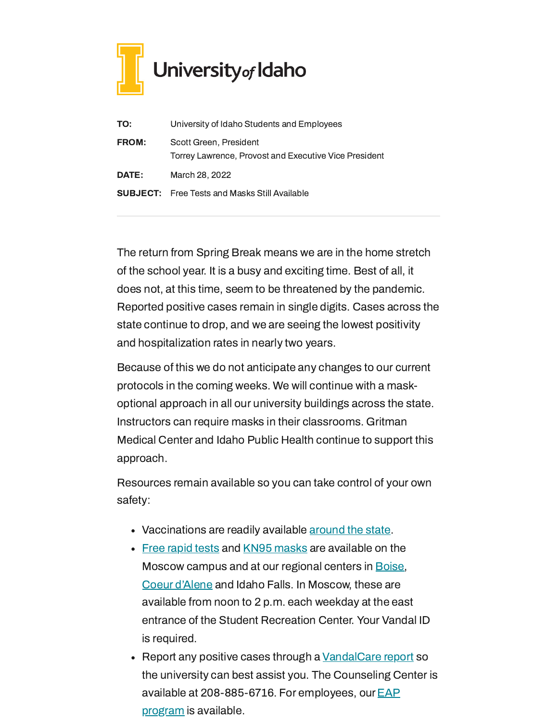

| TO:          | University of Idaho Students and Employees                                      |
|--------------|---------------------------------------------------------------------------------|
| <b>FROM:</b> | Scott Green, President<br>Torrey Lawrence, Provost and Executive Vice President |
| <b>DATE:</b> | March 28, 2022                                                                  |
|              | <b>SUBJECT:</b> Free Tests and Masks Still Available                            |

The return from Spring Break means we are in the home stretch of the school year. It is a busy and exciting time. Best of all, it does not, at this time, seem to be threatened by the pandemic. Reported positive cases remain in single digits. Cases across the state continue to drop, and we are seeing the lowest positivity and hospitalization rates in nearly two years.

Because of this we do not anticipate any changes to our current protocols in the coming weeks. We will continue with a maskoptional approach in all our university buildings across the state. Instructors can require masks in their classrooms. Gritman Medical Center and Idaho Public Health continue to support this approach.

Resources remain available so you can take control of your own safety:

- Vaccinations are readily available [around](https://www.vaccines.gov/search/) the state.
- Free [rapid](https://www.uidaho.edu/-/media/UIdaho-Responsive/Files/health-clinic/covid-19/memos/memo-220207-green-lawrence.pdf) tests and [KN95 masks](https://www.uidaho.edu/-/media/UIdaho-Responsive/Files/health-clinic/covid-19/memos/memo-220214-green-lawrence.pdf) are available on the Moscow campus and at our regional centers in [Boise,](https://www.uidaho.edu/boise/covid-19) Coeur [d'Alene](https://www.uidaho.edu/cda/students/resources) and Idaho Falls. In Moscow, these are available from noon to 2 p.m. each weekday at the east entrance of the Student Recreation Center. Your Vandal ID is required.
- Report any positive cases through a [VandalCare](https://www.uidaho.edu/student-affairs/dean-of-students/vandalcare) report so the university can best assist you. The Counseling Center is available at [208-885-6716.](https://www.uidaho.edu/human-resources/benefits/core-benefits/eap) For employees, our  $EAP$ program is available.